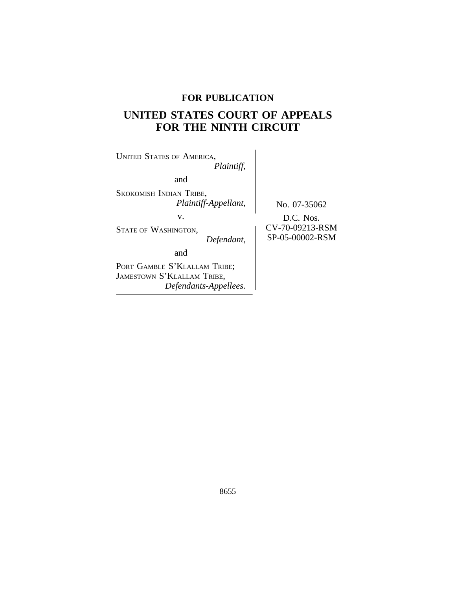## **FOR PUBLICATION**

# **UNITED STATES COURT OF APPEALS FOR THE NINTH CIRCUIT**

 $\overline{\phantom{a}}$ 

| <b>UNITED STATES OF AMERICA,</b><br>Plaintiff,                                                     |                                                                 |
|----------------------------------------------------------------------------------------------------|-----------------------------------------------------------------|
| and                                                                                                |                                                                 |
| SKOKOMISH INDIAN TRIBE,<br>Plaintiff-Appellant,<br>v.<br><b>STATE OF WASHINGTON,</b><br>Defendant, | No. 07-35062<br>D.C. Nos.<br>CV-70-09213-RSM<br>SP-05-00002-RSM |
| and<br>PORT GAMBLE S'KLALLAM TRIBE;<br>JAMESTOWN S'KLALLAM TRIBE,<br>Defendants-Appellees.         |                                                                 |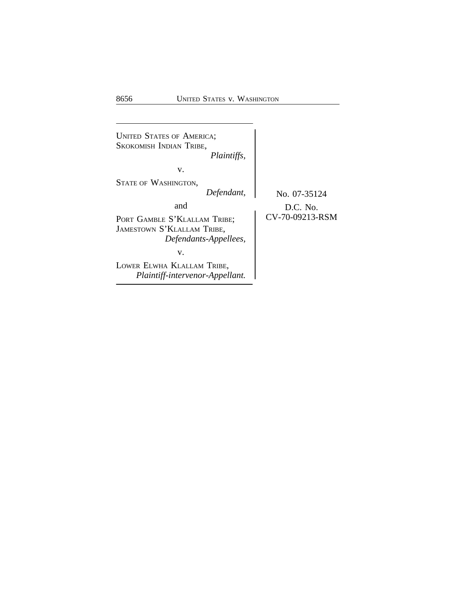| <b>UNITED STATES OF AMERICA;</b><br>SKOKOMISH INDIAN TRIBE,<br><i>Plaintiffs,</i>                                                                                                                                    |                                               |
|----------------------------------------------------------------------------------------------------------------------------------------------------------------------------------------------------------------------|-----------------------------------------------|
| v.<br><b>STATE OF WASHINGTON,</b><br>Defendant,<br>and<br>PORT GAMBLE S'KLALLAM TRIBE;<br>JAMESTOWN S'KLALLAM TRIBE,<br>Defendants-Appellees,<br>v.<br>LOWER ELWHA KLALLAM TRIBE,<br>Plaintiff-intervenor-Appellant. | No. 07-35124<br>$D.C.$ No.<br>CV-70-09213-RSM |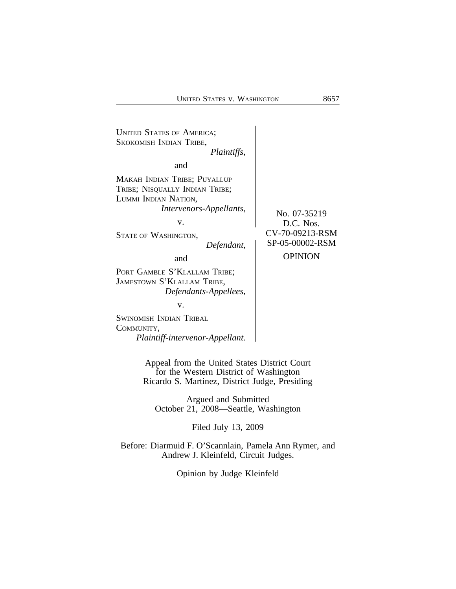

Appeal from the United States District Court for the Western District of Washington Ricardo S. Martinez, District Judge, Presiding

Argued and Submitted October 21, 2008—Seattle, Washington

Filed July 13, 2009

Before: Diarmuid F. O'Scannlain, Pamela Ann Rymer, and Andrew J. Kleinfeld, Circuit Judges.

Opinion by Judge Kleinfeld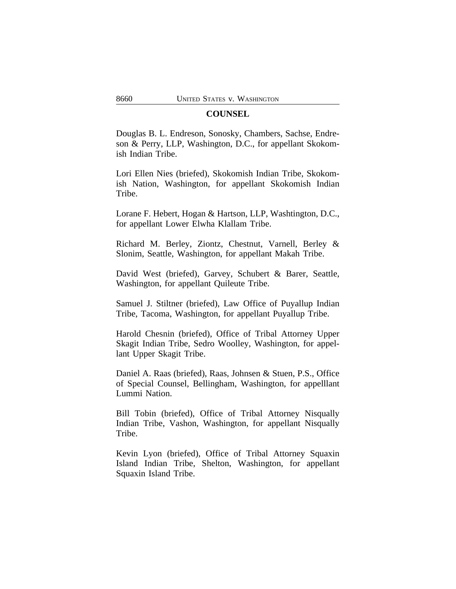## **COUNSEL**

Douglas B. L. Endreson, Sonosky, Chambers, Sachse, Endreson & Perry, LLP, Washington, D.C., for appellant Skokomish Indian Tribe.

Lori Ellen Nies (briefed), Skokomish Indian Tribe, Skokomish Nation, Washington, for appellant Skokomish Indian Tribe.

Lorane F. Hebert, Hogan & Hartson, LLP, Washtington, D.C., for appellant Lower Elwha Klallam Tribe.

Richard M. Berley, Ziontz, Chestnut, Varnell, Berley & Slonim, Seattle, Washington, for appellant Makah Tribe.

David West (briefed), Garvey, Schubert & Barer, Seattle, Washington, for appellant Quileute Tribe.

Samuel J. Stiltner (briefed), Law Office of Puyallup Indian Tribe, Tacoma, Washington, for appellant Puyallup Tribe.

Harold Chesnin (briefed), Office of Tribal Attorney Upper Skagit Indian Tribe, Sedro Woolley, Washington, for appellant Upper Skagit Tribe.

Daniel A. Raas (briefed), Raas, Johnsen & Stuen, P.S., Office of Special Counsel, Bellingham, Washington, for appelllant Lummi Nation.

Bill Tobin (briefed), Office of Tribal Attorney Nisqually Indian Tribe, Vashon, Washington, for appellant Nisqually Tribe.

Kevin Lyon (briefed), Office of Tribal Attorney Squaxin Island Indian Tribe, Shelton, Washington, for appellant Squaxin Island Tribe.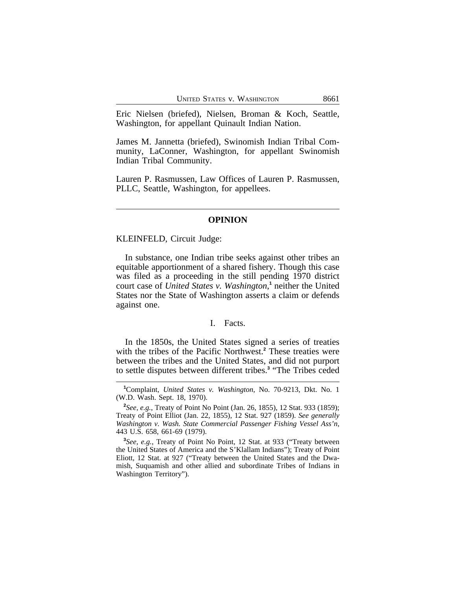Eric Nielsen (briefed), Nielsen, Broman & Koch, Seattle, Washington, for appellant Quinault Indian Nation.

James M. Jannetta (briefed), Swinomish Indian Tribal Community, LaConner, Washington, for appellant Swinomish Indian Tribal Community.

Lauren P. Rasmussen, Law Offices of Lauren P. Rasmussen, PLLC, Seattle, Washington, for appellees.

## **OPINION**

#### KLEINFELD, Circuit Judge:

In substance, one Indian tribe seeks against other tribes an equitable apportionment of a shared fishery. Though this case was filed as a proceeding in the still pending 1970 district court case of *United States v. Washington*,<sup>1</sup> neither the United States nor the State of Washington asserts a claim or defends against one.

## I. Facts.

In the 1850s, the United States signed a series of treaties with the tribes of the Pacific Northwest.**<sup>2</sup>** These treaties were between the tribes and the United States, and did not purport to settle disputes between different tribes.**<sup>3</sup>** "The Tribes ceded

**<sup>1</sup>**Complaint, *United States v. Washington*, No. 70-9213, Dkt. No. 1 (W.D. Wash. Sept. 18, 1970).

**<sup>2</sup>** *See, e.g.*, Treaty of Point No Point (Jan. 26, 1855), 12 Stat. 933 (1859); Treaty of Point Elliot (Jan. 22, 1855), 12 Stat. 927 (1859). *See generally Washington v. Wash. State Commercial Passenger Fishing Vessel Ass'n*, 443 U.S. 658, 661-69 (1979).

**<sup>3</sup>** *See, e.g.*, Treaty of Point No Point, 12 Stat. at 933 ("Treaty between the United States of America and the S'Klallam Indians"); Treaty of Point Eliott, 12 Stat. at 927 ("Treaty between the United States and the Dwamish, Suquamish and other allied and subordinate Tribes of Indians in Washington Territory").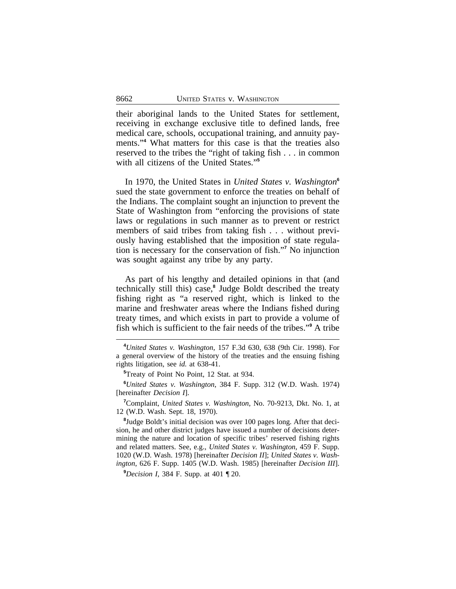their aboriginal lands to the United States for settlement, receiving in exchange exclusive title to defined lands, free medical care, schools, occupational training, and annuity payments."**<sup>4</sup>** What matters for this case is that the treaties also reserved to the tribes the "right of taking fish . . . in common with all citizens of the United States." **5**

In 1970, the United States in *United States v. Washington***<sup>6</sup>** sued the state government to enforce the treaties on behalf of the Indians. The complaint sought an injunction to prevent the State of Washington from "enforcing the provisions of state laws or regulations in such manner as to prevent or restrict members of said tribes from taking fish . . . without previously having established that the imposition of state regulation is necessary for the conservation of fish."<sup>7</sup> No injunction was sought against any tribe by any party.

As part of his lengthy and detailed opinions in that (and technically still this) case,**<sup>8</sup>** Judge Boldt described the treaty fishing right as "a reserved right, which is linked to the marine and freshwater areas where the Indians fished during treaty times, and which exists in part to provide a volume of fish which is sufficient to the fair needs of the tribes." **9** A tribe

**<sup>9</sup>***Decision I*, 384 F. Supp. at 401 ¶ 20.

**<sup>4</sup>***United States v. Washington*, 157 F.3d 630, 638 (9th Cir. 1998). For a general overview of the history of the treaties and the ensuing fishing rights litigation, see *id.* at 638-41.

**<sup>5</sup>**Treaty of Point No Point, 12 Stat. at 934.

**<sup>6</sup>***United States v. Washington*, 384 F. Supp. 312 (W.D. Wash. 1974) [hereinafter *Decision I*].

**<sup>7</sup>**Complaint, *United States v. Washington*, No. 70-9213, Dkt. No. 1, at 12 (W.D. Wash. Sept. 18, 1970).

**<sup>8</sup>** Judge Boldt's initial decision was over 100 pages long. After that decision, he and other district judges have issued a number of decisions determining the nature and location of specific tribes' reserved fishing rights and related matters. See, e.g., *United States v. Washington*, 459 F. Supp. 1020 (W.D. Wash. 1978) [hereinafter *Decision II*]; *United States v. Washington*, 626 F. Supp. 1405 (W.D. Wash. 1985) [hereinafter *Decision III*].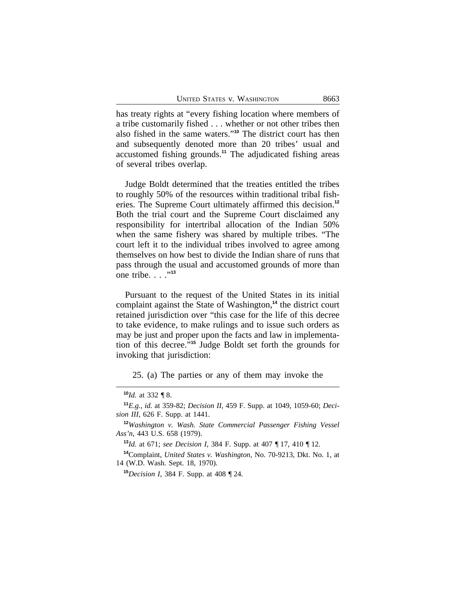has treaty rights at "every fishing location where members of a tribe customarily fished . . . whether or not other tribes then also fished in the same waters." **<sup>10</sup>** The district court has then and subsequently denoted more than 20 tribes' usual and accustomed fishing grounds.**<sup>11</sup>** The adjudicated fishing areas of several tribes overlap.

Judge Boldt determined that the treaties entitled the tribes to roughly 50% of the resources within traditional tribal fisheries. The Supreme Court ultimately affirmed this decision.**<sup>12</sup>** Both the trial court and the Supreme Court disclaimed any responsibility for intertribal allocation of the Indian 50% when the same fishery was shared by multiple tribes. "The court left it to the individual tribes involved to agree among themselves on how best to divide the Indian share of runs that pass through the usual and accustomed grounds of more than one tribe. . . .<sup>"13</sup>

Pursuant to the request of the United States in its initial complaint against the State of Washington,**<sup>14</sup>** the district court retained jurisdiction over "this case for the life of this decree to take evidence, to make rulings and to issue such orders as may be just and proper upon the facts and law in implementation of this decree." **<sup>15</sup>** Judge Boldt set forth the grounds for invoking that jurisdiction:

25. (a) The parties or any of them may invoke the

**<sup>10</sup>***Id.* at 332 ¶ 8.

**<sup>11</sup>***E.g.*, *id.* at 359-82; *Decision II*, 459 F. Supp. at 1049, 1059-60; *Decision III*, 626 F. Supp. at 1441.

**<sup>12</sup>***Washington v. Wash. State Commercial Passenger Fishing Vessel Ass'n*, 443 U.S. 658 (1979).

**<sup>13</sup>***Id.* at 671; *see Decision I*, 384 F. Supp. at 407 ¶ 17, 410 ¶ 12.

**<sup>14</sup>**Complaint, *United States v. Washington*, No. 70-9213, Dkt. No. 1, at 14 (W.D. Wash. Sept. 18, 1970).

**<sup>15</sup>***Decision I*, 384 F. Supp. at 408 ¶ 24.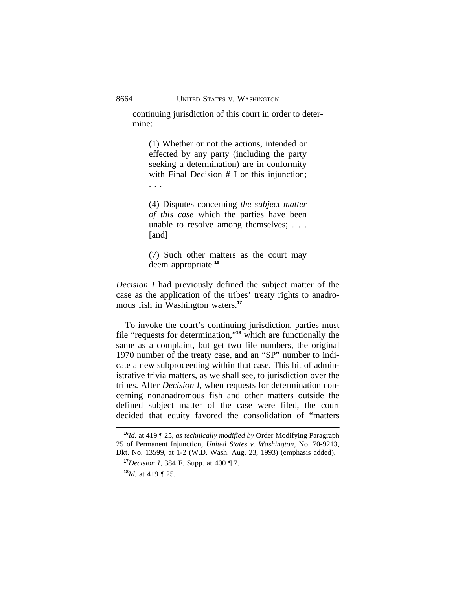continuing jurisdiction of this court in order to determine:

(1) Whether or not the actions, intended or effected by any party (including the party seeking a determination) are in conformity with Final Decision # I or this injunction; . . .

(4) Disputes concerning *the subject matter of this case* which the parties have been unable to resolve among themselves; . . . [and]

(7) Such other matters as the court may deem appropriate.**<sup>16</sup>**

*Decision I* had previously defined the subject matter of the case as the application of the tribes' treaty rights to anadromous fish in Washington waters.**<sup>17</sup>**

To invoke the court's continuing jurisdiction, parties must file "requests for determination," **<sup>18</sup>** which are functionally the same as a complaint, but get two file numbers, the original 1970 number of the treaty case, and an "SP" number to indicate a new subproceeding within that case. This bit of administrative trivia matters, as we shall see, to jurisdiction over the tribes. After *Decision I*, when requests for determination concerning nonanadromous fish and other matters outside the defined subject matter of the case were filed, the court decided that equity favored the consolidation of "matters

**<sup>16</sup>***Id.* at 419 ¶ 25, *as technically modified by* Order Modifying Paragraph 25 of Permanent Injunction, *United States v. Washington*, No. 70-9213, Dkt. No. 13599, at 1-2 (W.D. Wash. Aug. 23, 1993) (emphasis added).

**<sup>17</sup>***Decision I*, 384 F. Supp. at 400 ¶ 7.

**<sup>18</sup>***Id.* at 419 ¶ 25.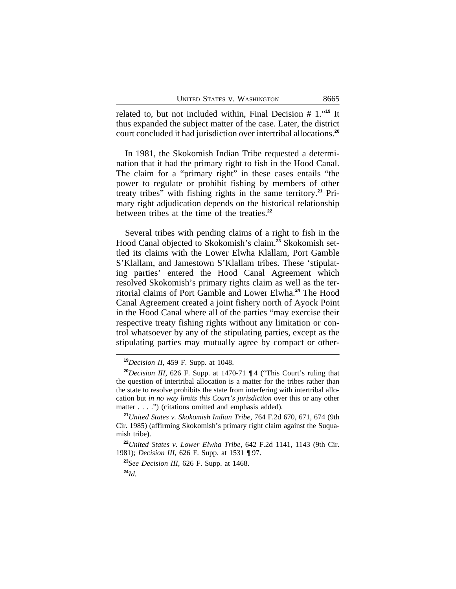related to, but not included within, Final Decision # 1." **<sup>19</sup>** It thus expanded the subject matter of the case. Later, the district court concluded it had jurisdiction over intertribal allocations.**<sup>20</sup>**

In 1981, the Skokomish Indian Tribe requested a determination that it had the primary right to fish in the Hood Canal. The claim for a "primary right" in these cases entails "the power to regulate or prohibit fishing by members of other treaty tribes" with fishing rights in the same territory.**21** Primary right adjudication depends on the historical relationship between tribes at the time of the treaties.**<sup>22</sup>**

Several tribes with pending claims of a right to fish in the Hood Canal objected to Skokomish's claim.**23** Skokomish settled its claims with the Lower Elwha Klallam, Port Gamble S'Klallam, and Jamestown S'Klallam tribes. These 'stipulating parties' entered the Hood Canal Agreement which resolved Skokomish's primary rights claim as well as the territorial claims of Port Gamble and Lower Elwha.**<sup>24</sup>** The Hood Canal Agreement created a joint fishery north of Ayock Point in the Hood Canal where all of the parties "may exercise their respective treaty fishing rights without any limitation or control whatsoever by any of the stipulating parties, except as the stipulating parties may mutually agree by compact or other-

**<sup>19</sup>***Decision II*, 459 F. Supp. at 1048.

**<sup>20</sup>***Decision III*, 626 F. Supp. at 1470-71 ¶ 4 ("This Court's ruling that the question of intertribal allocation is a matter for the tribes rather than the state to resolve prohibits the state from interfering with intertribal allocation but *in no way limits this Court's jurisdiction* over this or any other matter . . . .") (citations omitted and emphasis added).

**<sup>21</sup>***United States v. Skokomish Indian Tribe*, 764 F.2d 670, 671, 674 (9th Cir. 1985) (affirming Skokomish's primary right claim against the Suquamish tribe).

**<sup>22</sup>***United States v. Lower Elwha Tribe*, 642 F.2d 1141, 1143 (9th Cir. 1981); *Decision III*, 626 F. Supp. at 1531 ¶ 97.

**<sup>23</sup>***See Decision III*, 626 F. Supp. at 1468.

**<sup>24</sup>***Id.*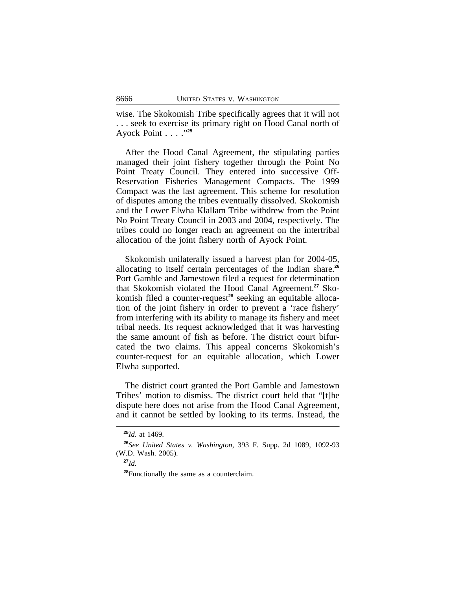wise. The Skokomish Tribe specifically agrees that it will not . . . seek to exercise its primary right on Hood Canal north of Ayock Point . . . ." **25**

After the Hood Canal Agreement, the stipulating parties managed their joint fishery together through the Point No Point Treaty Council. They entered into successive Off-Reservation Fisheries Management Compacts. The 1999 Compact was the last agreement. This scheme for resolution of disputes among the tribes eventually dissolved. Skokomish and the Lower Elwha Klallam Tribe withdrew from the Point No Point Treaty Council in 2003 and 2004, respectively. The tribes could no longer reach an agreement on the intertribal allocation of the joint fishery north of Ayock Point.

Skokomish unilaterally issued a harvest plan for 2004-05, allocating to itself certain percentages of the Indian share.**<sup>26</sup>** Port Gamble and Jamestown filed a request for determination that Skokomish violated the Hood Canal Agreement.**27** Skokomish filed a counter-request**28** seeking an equitable allocation of the joint fishery in order to prevent a 'race fishery' from interfering with its ability to manage its fishery and meet tribal needs. Its request acknowledged that it was harvesting the same amount of fish as before. The district court bifurcated the two claims. This appeal concerns Skokomish's counter-request for an equitable allocation, which Lower Elwha supported.

The district court granted the Port Gamble and Jamestown Tribes' motion to dismiss. The district court held that "[t]he dispute here does not arise from the Hood Canal Agreement, and it cannot be settled by looking to its terms. Instead, the

**<sup>28</sup>**Functionally the same as a counterclaim.

**<sup>25</sup>***Id.* at 1469.

**<sup>26</sup>***See United States v. Washington*, 393 F. Supp. 2d 1089, 1092-93 (W.D. Wash. 2005).

**<sup>27</sup>***Id.*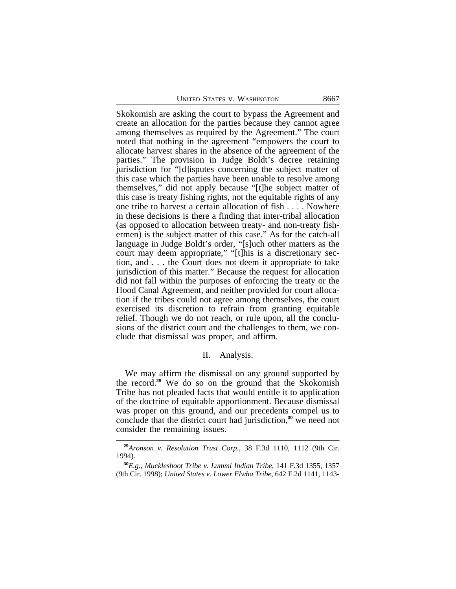Skokomish are asking the court to bypass the Agreement and create an allocation for the parties because they cannot agree among themselves as required by the Agreement." The court noted that nothing in the agreement "empowers the court to allocate harvest shares in the absence of the agreement of the parties." The provision in Judge Boldt's decree retaining jurisdiction for "[d]isputes concerning the subject matter of this case which the parties have been unable to resolve among themselves," did not apply because "[t]he subject matter of this case is treaty fishing rights, not the equitable rights of any one tribe to harvest a certain allocation of fish . . . . Nowhere in these decisions is there a finding that inter-tribal allocation (as opposed to allocation between treaty- and non-treaty fishermen) is the subject matter of this case." As for the catch-all language in Judge Boldt's order, "[s]uch other matters as the court may deem appropriate," "[t]his is a discretionary section, and . . . the Court does not deem it appropriate to take jurisdiction of this matter." Because the request for allocation did not fall within the purposes of enforcing the treaty or the Hood Canal Agreement, and neither provided for court allocation if the tribes could not agree among themselves, the court exercised its discretion to refrain from granting equitable relief. Though we do not reach, or rule upon, all the conclusions of the district court and the challenges to them, we conclude that dismissal was proper, and affirm.

## II. Analysis.

We may affirm the dismissal on any ground supported by the record.**<sup>29</sup>** We do so on the ground that the Skokomish Tribe has not pleaded facts that would entitle it to application of the doctrine of equitable apportionment. Because dismissal was proper on this ground, and our precedents compel us to conclude that the district court had jurisdiction,**<sup>30</sup>** we need not consider the remaining issues.

**<sup>29</sup>***Aronson v. Resolution Trust Corp.*, 38 F.3d 1110, 1112 (9th Cir. 1994).

**<sup>30</sup>***E.g.*, *Muckleshoot Tribe v. Lummi Indian Tribe*, 141 F.3d 1355, 1357 (9th Cir. 1998); *United States v. Lower Elwha Tribe*, 642 F.2d 1141, 1143-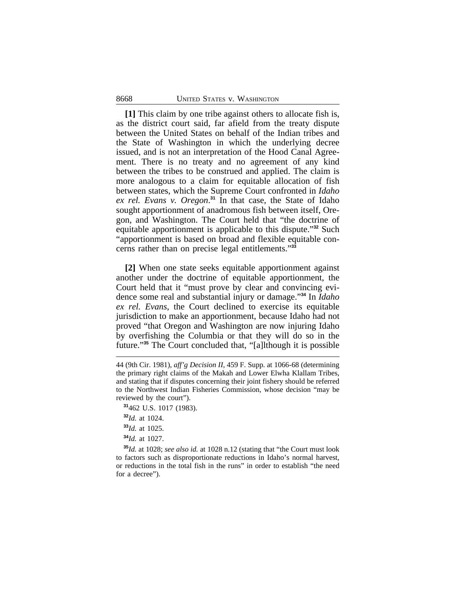**[1]** This claim by one tribe against others to allocate fish is, as the district court said, far afield from the treaty dispute between the United States on behalf of the Indian tribes and the State of Washington in which the underlying decree issued, and is not an interpretation of the Hood Canal Agreement. There is no treaty and no agreement of any kind between the tribes to be construed and applied. The claim is more analogous to a claim for equitable allocation of fish between states, which the Supreme Court confronted in *Idaho ex rel. Evans v. Oregon*. **<sup>31</sup>** In that case, the State of Idaho sought apportionment of anadromous fish between itself, Oregon, and Washington. The Court held that "the doctrine of equitable apportionment is applicable to this dispute." **<sup>32</sup>** Such "apportionment is based on broad and flexible equitable concerns rather than on precise legal entitlements." **33**

**[2]** When one state seeks equitable apportionment against another under the doctrine of equitable apportionment, the Court held that it "must prove by clear and convincing evidence some real and substantial injury or damage." **<sup>34</sup>** In *Idaho ex rel. Evans*, the Court declined to exercise its equitable jurisdiction to make an apportionment, because Idaho had not proved "that Oregon and Washington are now injuring Idaho by overfishing the Columbia or that they will do so in the future."**<sup>35</sup>** The Court concluded that, "[a]lthough it is possible

**<sup>31</sup>**462 U.S. 1017 (1983).

**<sup>32</sup>***Id.* at 1024.

**<sup>33</sup>***Id.* at 1025.

**<sup>34</sup>***Id.* at 1027.

**<sup>35</sup>***Id.* at 1028; *see also id.* at 1028 n.12 (stating that "the Court must look to factors such as disproportionate reductions in Idaho's normal harvest, or reductions in the total fish in the runs" in order to establish "the need for a decree").

<sup>44 (9</sup>th Cir. 1981), *aff'g Decision II*, 459 F. Supp. at 1066-68 (determining the primary right claims of the Makah and Lower Elwha Klallam Tribes, and stating that if disputes concerning their joint fishery should be referred to the Northwest Indian Fisheries Commission, whose decision "may be reviewed by the court").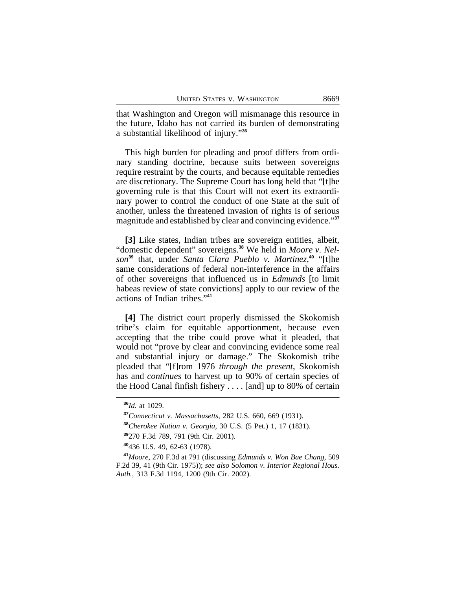that Washington and Oregon will mismanage this resource in the future, Idaho has not carried its burden of demonstrating a substantial likelihood of injury." **36**

This high burden for pleading and proof differs from ordinary standing doctrine, because suits between sovereigns require restraint by the courts, and because equitable remedies are discretionary. The Supreme Court has long held that "[t]he governing rule is that this Court will not exert its extraordinary power to control the conduct of one State at the suit of another, unless the threatened invasion of rights is of serious magnitude and established by clear and convincing evidence." **37**

[3] Like states, Indian tribes are sovereign entities, albeit, "domestic dependent" sovereigns.**38** We held in *Moore v. Nelson***<sup>39</sup>** that, under *Santa Clara Pueblo v. Martinez*, **<sup>40</sup>** "[t]he same considerations of federal non-interference in the affairs of other sovereigns that influenced us in *Edmunds* [to limit habeas review of state convictions] apply to our review of the actions of Indian tribes." **41**

**[4]** The district court properly dismissed the Skokomish tribe's claim for equitable apportionment, because even accepting that the tribe could prove what it pleaded, that would not "prove by clear and convincing evidence some real and substantial injury or damage." The Skokomish tribe pleaded that "[f]rom 1976 *through the present*, Skokomish has and *continues* to harvest up to 90% of certain species of the Hood Canal finfish fishery . . . . [and] up to 80% of certain

**<sup>36</sup>***Id.* at 1029.

**<sup>37</sup>***Connecticut v. Massachusetts*, 282 U.S. 660, 669 (1931).

**<sup>38</sup>***Cherokee Nation v. Georgia*, 30 U.S. (5 Pet.) 1, 17 (1831).

**<sup>39</sup>**270 F.3d 789, 791 (9th Cir. 2001).

**<sup>40</sup>**436 U.S. 49, 62-63 (1978).

**<sup>41</sup>***Moore*, 270 F.3d at 791 (discussing *Edmunds v. Won Bae Chang*, 509 F.2d 39, 41 (9th Cir. 1975)); *see also Solomon v. Interior Regional Hous. Auth.*, 313 F.3d 1194, 1200 (9th Cir. 2002).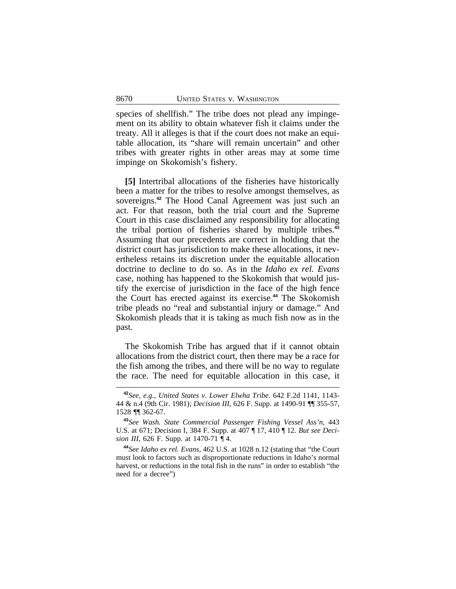species of shellfish." The tribe does not plead any impingement on its ability to obtain whatever fish it claims under the treaty. All it alleges is that if the court does not make an equitable allocation, its "share will remain uncertain" and other tribes with greater rights in other areas may at some time impinge on Skokomish's fishery.

**[5]** Intertribal allocations of the fisheries have historically been a matter for the tribes to resolve amongst themselves, as sovereigns.**<sup>42</sup>** The Hood Canal Agreement was just such an act. For that reason, both the trial court and the Supreme Court in this case disclaimed any responsibility for allocating the tribal portion of fisheries shared by multiple tribes.**<sup>43</sup>** Assuming that our precedents are correct in holding that the district court has jurisdiction to make these allocations, it nevertheless retains its discretion under the equitable allocation doctrine to decline to do so. As in the *Idaho ex rel. Evans* case, nothing has happened to the Skokomish that would justify the exercise of jurisdiction in the face of the high fence the Court has erected against its exercise.**<sup>44</sup>** The Skokomish tribe pleads no "real and substantial injury or damage." And Skokomish pleads that it is taking as much fish now as in the past.

The Skokomish Tribe has argued that if it cannot obtain allocations from the district court, then there may be a race for the fish among the tribes, and there will be no way to regulate the race. The need for equitable allocation in this case, it

**<sup>42</sup>***See, e.g.*, *United States v. Lower Elwha Tribe*. 642 F.2d 1141, 1143- 44 & n.4 (9th Cir. 1981); *Decision III*, 626 F. Supp. at 1490-91 ¶¶ 355-57, 1528 ¶¶ 362-67.

**<sup>43</sup>***See Wash. State Commercial Passenger Fishing Vessel Ass'n*, 443 U.S. at 671; Decision I, 384 F. Supp. at 407 ¶ 17, 410 ¶ 12. *But see Decision III*, 626 F. Supp. at 1470-71 ¶ 4.

**<sup>44</sup>***See Idaho ex rel. Evans*, 462 U.S. at 1028 n.12 (stating that "the Court must look to factors such as disproportionate reductions in Idaho's normal harvest, or reductions in the total fish in the runs" in order to establish "the need for a decree")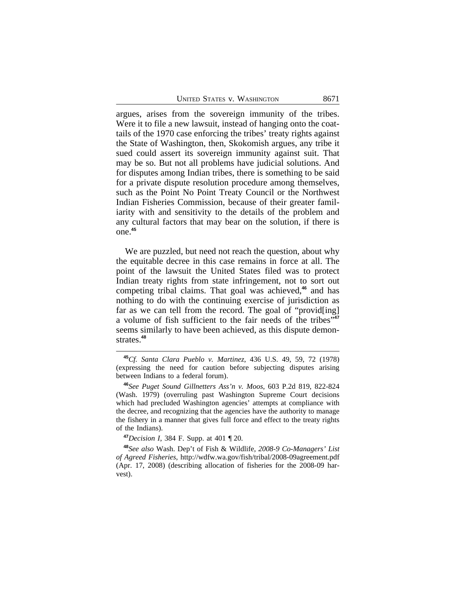argues, arises from the sovereign immunity of the tribes. Were it to file a new lawsuit, instead of hanging onto the coattails of the 1970 case enforcing the tribes' treaty rights against the State of Washington, then, Skokomish argues, any tribe it sued could assert its sovereign immunity against suit. That may be so. But not all problems have judicial solutions. And for disputes among Indian tribes, there is something to be said for a private dispute resolution procedure among themselves, such as the Point No Point Treaty Council or the Northwest Indian Fisheries Commission, because of their greater familiarity with and sensitivity to the details of the problem and any cultural factors that may bear on the solution, if there is one.**<sup>45</sup>**

We are puzzled, but need not reach the question, about why the equitable decree in this case remains in force at all. The point of the lawsuit the United States filed was to protect Indian treaty rights from state infringement, not to sort out competing tribal claims. That goal was achieved,**<sup>46</sup>** and has nothing to do with the continuing exercise of jurisdiction as far as we can tell from the record. The goal of "provid[ing] a volume of fish sufficient to the fair needs of the tribes" **47** seems similarly to have been achieved, as this dispute demonstrates.**<sup>48</sup>**

**<sup>47</sup>***Decision I*, 384 F. Supp. at 401 ¶ 20.

**<sup>48</sup>***See also* Wash. Dep't of Fish & Wildlife, *2008-9 Co-Managers' List of Agreed Fisheries*, http://wdfw.wa.gov/fish/tribal/2008-09agreement.pdf (Apr. 17, 2008) (describing allocation of fisheries for the 2008-09 harvest).

**<sup>45</sup>***Cf. Santa Clara Pueblo v. Martinez*, 436 U.S. 49, 59, 72 (1978) (expressing the need for caution before subjecting disputes arising between Indians to a federal forum).

**<sup>46</sup>***See Puget Sound Gillnetters Ass'n v. Moos*, 603 P.2d 819, 822-824 (Wash. 1979) (overruling past Washington Supreme Court decisions which had precluded Washington agencies' attempts at compliance with the decree, and recognizing that the agencies have the authority to manage the fishery in a manner that gives full force and effect to the treaty rights of the Indians).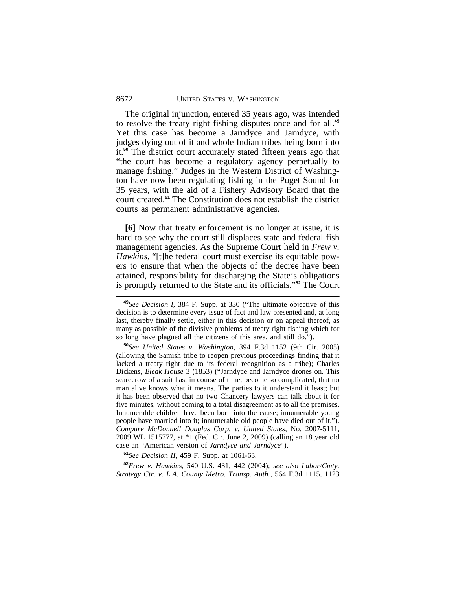The original injunction, entered 35 years ago, was intended to resolve the treaty right fishing disputes once and for all.**<sup>49</sup>** Yet this case has become a Jarndyce and Jarndyce, with judges dying out of it and whole Indian tribes being born into it.**<sup>50</sup>** The district court accurately stated fifteen years ago that "the court has become a regulatory agency perpetually to manage fishing." Judges in the Western District of Washington have now been regulating fishing in the Puget Sound for 35 years, with the aid of a Fishery Advisory Board that the court created.**<sup>51</sup>** The Constitution does not establish the district courts as permanent administrative agencies.

**[6]** Now that treaty enforcement is no longer at issue, it is hard to see why the court still displaces state and federal fish management agencies. As the Supreme Court held in *Frew v. Hawkins*, "[t]he federal court must exercise its equitable powers to ensure that when the objects of the decree have been attained, responsibility for discharging the State's obligations is promptly returned to the State and its officials." **<sup>52</sup>** The Court

**<sup>50</sup>***See United States v. Washington*, 394 F.3d 1152 (9th Cir. 2005) (allowing the Samish tribe to reopen previous proceedings finding that it lacked a treaty right due to its federal recognition as a tribe); Charles Dickens, *Bleak House* 3 (1853) ("Jarndyce and Jarndyce drones on. This scarecrow of a suit has, in course of time, become so complicated, that no man alive knows what it means. The parties to it understand it least; but it has been observed that no two Chancery lawyers can talk about it for five minutes, without coming to a total disagreement as to all the premises. Innumerable children have been born into the cause; innumerable young people have married into it; innumerable old people have died out of it."). *Compare McDonnell Douglas Corp. v. United States*, No. 2007-5111, 2009 WL 1515777, at \*1 (Fed. Cir. June 2, 2009) (calling an 18 year old case an "American version of *Jarndyce and Jarndyce*").

**<sup>51</sup>***See Decision II*, 459 F. Supp. at 1061-63.

**<sup>52</sup>***Frew v. Hawkins*, 540 U.S. 431, 442 (2004); *see also Labor/Cmty. Strategy Ctr. v. L.A. County Metro. Transp. Auth.*, 564 F.3d 1115, 1123

**<sup>49</sup>***See Decision I*, 384 F. Supp. at 330 ("The ultimate objective of this decision is to determine every issue of fact and law presented and, at long last, thereby finally settle, either in this decision or on appeal thereof, as many as possible of the divisive problems of treaty right fishing which for so long have plagued all the citizens of this area, and still do.").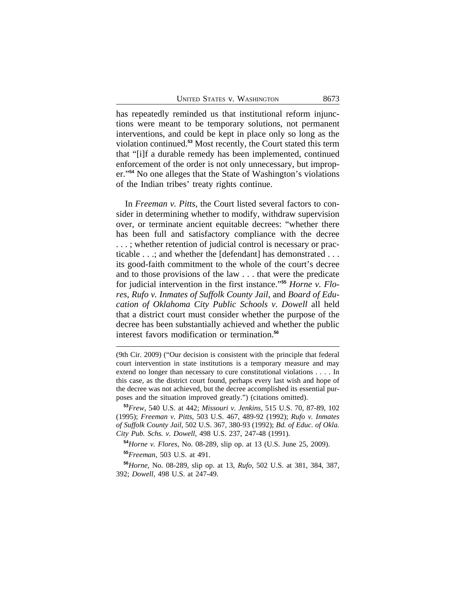has repeatedly reminded us that institutional reform injunctions were meant to be temporary solutions, not permanent interventions, and could be kept in place only so long as the violation continued.**<sup>53</sup>** Most recently, the Court stated this term that "[i]f a durable remedy has been implemented, continued enforcement of the order is not only unnecessary, but improper."**<sup>54</sup>** No one alleges that the State of Washington's violations of the Indian tribes' treaty rights continue.

In *Freeman v. Pitts*, the Court listed several factors to consider in determining whether to modify, withdraw supervision over, or terminate ancient equitable decrees: "whether there has been full and satisfactory compliance with the decree . . . ; whether retention of judicial control is necessary or practicable . . .; and whether the [defendant] has demonstrated . . . its good-faith commitment to the whole of the court's decree and to those provisions of the law . . . that were the predicate for judicial intervention in the first instance." **<sup>55</sup>** *Horne v. Flores*, *Rufo v. Inmates of Suffolk County Jail*, and *Board of Education of Oklahoma City Public Schools v. Dowell* all held that a district court must consider whether the purpose of the decree has been substantially achieved and whether the public interest favors modification or termination.**<sup>56</sup>**

(9th Cir. 2009) ("Our decision is consistent with the principle that federal court intervention in state institutions is a temporary measure and may extend no longer than necessary to cure constitutional violations . . . . In this case, as the district court found, perhaps every last wish and hope of the decree was not achieved, but the decree accomplished its essential purposes and the situation improved greatly.") (citations omitted).

**<sup>53</sup>***Frew*, 540 U.S. at 442; *Missouri v. Jenkins*, 515 U.S. 70, 87-89, 102 (1995); *Freeman v. Pitts*, 503 U.S. 467, 489-92 (1992); *Rufo v. Inmates of Suffolk County Jail*, 502 U.S. 367, 380-93 (1992); *Bd. of Educ. of Okla. City Pub. Schs. v. Dowell*, 498 U.S. 237, 247-48 (1991).

**<sup>54</sup>***Horne v. Flores*, No. 08-289, slip op. at 13 (U.S. June 25, 2009).

**<sup>55</sup>***Freeman*, 503 U.S. at 491.

**<sup>56</sup>***Horne*, No. 08-289, slip op. at 13, *Rufo*, 502 U.S. at 381, 384, 387, 392; *Dowell*, 498 U.S. at 247-49.